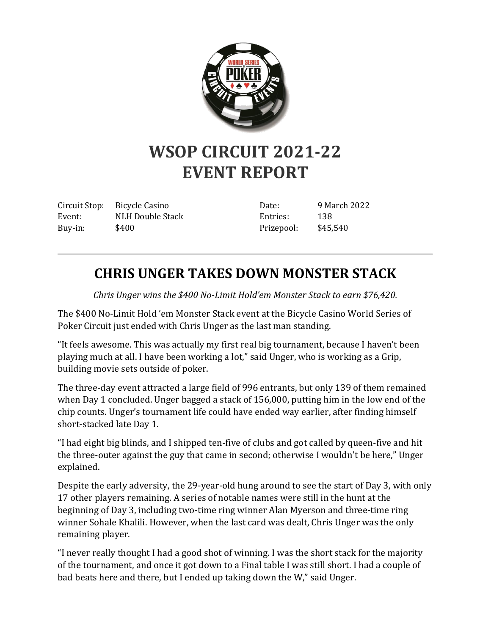

## **WSOP CIRCUIT 2021-22 EVENT REPORT**

Circuit Stop: Bicycle Casino Event: NLH Double Stack Buy-in: \$400

Date: 9 March 2022 Entries: 138 Prizepool: \$45,540

## **CHRIS UNGER TAKES DOWN MONSTER STACK**

*Chris Unger wins the \$400 No-Limit Hold'em Monster Stack to earn \$76,420.*

The \$400 No-Limit Hold 'em Monster Stack event at the Bicycle Casino World Series of Poker Circuit just ended with Chris Unger as the last man standing.

"It feels awesome. This was actually my first real big tournament, because I haven't been playing much at all. I have been working a lot," said Unger, who is working as a Grip, building movie sets outside of poker.

The three-day event attracted a large field of 996 entrants, but only 139 of them remained when Day 1 concluded. Unger bagged a stack of 156,000, putting him in the low end of the chip counts. Unger's tournament life could have ended way earlier, after finding himself short-stacked late Day 1.

"I had eight big blinds, and I shipped ten-five of clubs and got called by queen-five and hit the three-outer against the guy that came in second; otherwise I wouldn't be here," Unger explained.

Despite the early adversity, the 29-year-old hung around to see the start of Day 3, with only 17 other players remaining. A series of notable names were still in the hunt at the beginning of Day 3, including two-time ring winner Alan Myerson and three-time ring winner Sohale Khalili. However, when the last card was dealt, Chris Unger was the only remaining player.

"I never really thought I had a good shot of winning. I was the short stack for the majority of the tournament, and once it got down to a Final table I was still short. I had a couple of bad beats here and there, but I ended up taking down the W," said Unger.